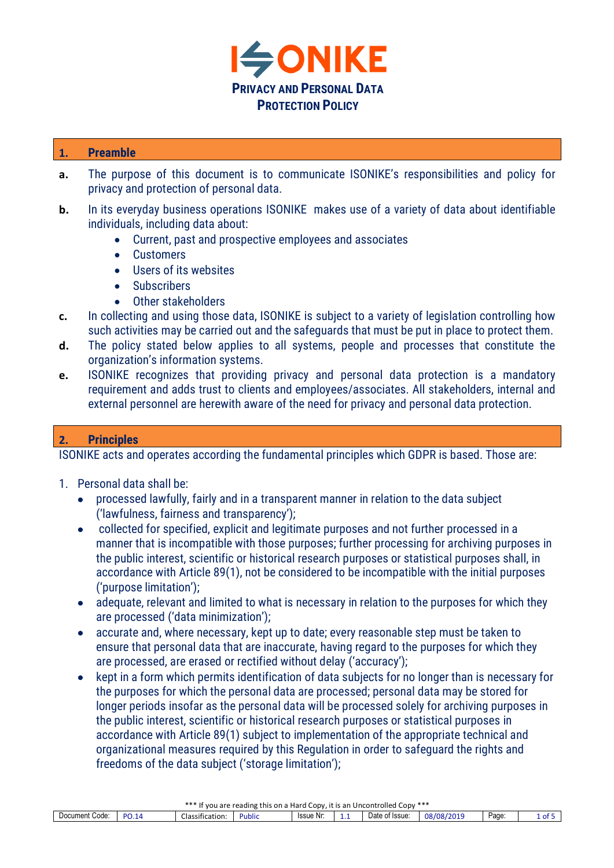

### **1. Preamble**

- **a.** The purpose of this document is to communicate ISONIKE's responsibilities and policy for privacy and protection of personal data.
- **b.** In its everyday business operations ISONIKE makes use of a variety of data about identifiable individuals, including data about:
	- Current, past and prospective employees and associates
	- Customers
	- Users of its websites
	- Subscribers
	- Other stakeholders
- **c.** In collecting and using those data, ISONIKE is subject to a variety of legislation controlling how such activities may be carried out and the safeguards that must be put in place to protect them.
- **d.** The policy stated below applies to all systems, people and processes that constitute the organization's information systems.
- **e.** ISONIKE recognizes that providing privacy and personal data protection is a mandatory requirement and adds trust to clients and employees/associates. All stakeholders, internal and external personnel are herewith aware of the need for privacy and personal data protection.

# **2. Principles**

ISONIKE acts and operates according the fundamental principles which GDPR is based. Those are:

- 1. Personal data shall be:
	- processed lawfully, fairly and in a transparent manner in relation to the data subject ('lawfulness, fairness and transparency');
	- collected for specified, explicit and legitimate purposes and not further processed in a manner that is incompatible with those purposes; further processing for archiving purposes in the public interest, scientific or historical research purposes or statistical purposes shall, in accordance with Article 89(1), not be considered to be incompatible with the initial purposes ('purpose limitation');
	- adequate, relevant and limited to what is necessary in relation to the purposes for which they are processed ('data minimization');
	- accurate and, where necessary, kept up to date; every reasonable step must be taken to ensure that personal data that are inaccurate, having regard to the purposes for which they are processed, are erased or rectified without delay ('accuracy');
	- kept in a form which permits identification of data subjects for no longer than is necessary for the purposes for which the personal data are processed; personal data may be stored for longer periods insofar as the personal data will be processed solely for archiving purposes in the public interest, scientific or historical research purposes or statistical purposes in accordance with Article 89(1) subject to implementation of the appropriate technical and organizational measures required by this Regulation in order to safeguard the rights and freedoms of the data subject ('storage limitation');

| *** If you are<br>⊿ CODV ***<br>⊿ CODV ∴<br>Hard<br>ا Uncontrolled<br>. reading this on a<br>. it is an |           |                                   |              |           |   |                |                     |      |      |
|---------------------------------------------------------------------------------------------------------|-----------|-----------------------------------|--------------|-----------|---|----------------|---------------------|------|------|
| Document Code:                                                                                          | <b>DO</b> | $- \cdot$<br>.<br>Classification: | <b>ublic</b> | Issue Nr: | . | Date of Issue: | 08/08/2019<br>1201- | Page | 1 of |
|                                                                                                         |           |                                   |              |           |   |                |                     |      |      |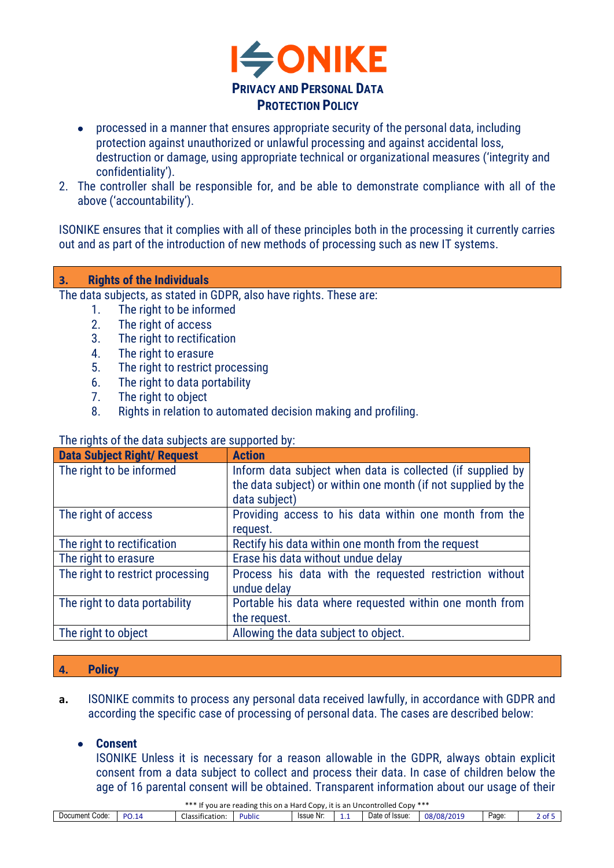

- processed in a manner that ensures appropriate security of the personal data, including protection against unauthorized or unlawful processing and against accidental loss, destruction or damage, using appropriate technical or organizational measures ('integrity and confidentiality').
- 2. The controller shall be responsible for, and be able to demonstrate compliance with all of the above ('accountability').

ISONIKE ensures that it complies with all of these principles both in the processing it currently carries out and as part of the introduction of new methods of processing such as new IT systems.

#### **3. Rights of the Individuals**

The data subjects, as stated in GDPR, also have rights. These are:

- 1. The right to be informed
- 2. The right of access
- 3. The right to rectification
- 4. The right to erasure
- 5. The right to restrict processing
- 6. The right to data portability
- 7. The right to object
- 8. Rights in relation to automated decision making and profiling.

#### The rights of the data subjects are supported by:

| <b>Data Subject Right/ Request</b> | <b>Action</b>                                                 |
|------------------------------------|---------------------------------------------------------------|
| The right to be informed           | Inform data subject when data is collected (if supplied by    |
|                                    | the data subject) or within one month (if not supplied by the |
|                                    | data subject)                                                 |
| The right of access                | Providing access to his data within one month from the        |
|                                    | request.                                                      |
| The right to rectification         | Rectify his data within one month from the request            |
| The right to erasure               | Erase his data without undue delay                            |
| The right to restrict processing   | Process his data with the requested restriction without       |
|                                    | undue delay                                                   |
| The right to data portability      | Portable his data where requested within one month from       |
|                                    | the request.                                                  |
| The right to object                | Allowing the data subject to object.                          |

#### **4. Policy**

**a.** ISONIKE commits to process any personal data received lawfully, in accordance with GDPR and according the specific case of processing of personal data. The cases are described below:

#### • **Consent**

ISONIKE Unless it is necessary for a reason allowable in the GDPR, always obtain explicit consent from a data subject to collect and process their data. In case of children below the age of 16 parental consent will be obtained. Transparent information about our usage of their

|                |       |                 | *** If you are reading this on a Hard Copy, it is an Uncontrolled Copy *** |           |                |            |       |      |
|----------------|-------|-----------------|----------------------------------------------------------------------------|-----------|----------------|------------|-------|------|
| Document Code: | PO.14 | Classification: | Public                                                                     | Issue Nr: | Date of Issue: | 08/08/2019 | Page: | - 91 |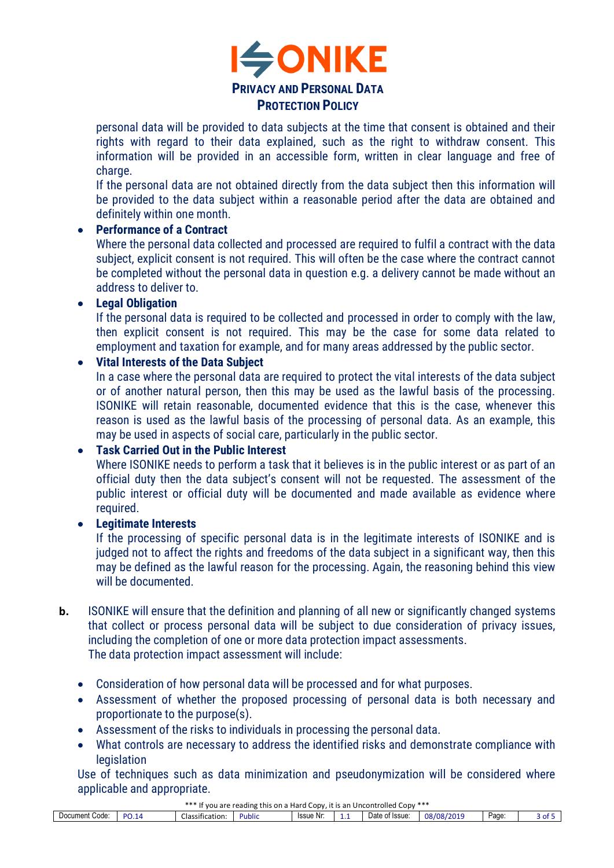

personal data will be provided to data subjects at the time that consent is obtained and their rights with regard to their data explained, such as the right to withdraw consent. This information will be provided in an accessible form, written in clear language and free of charge.

If the personal data are not obtained directly from the data subject then this information will be provided to the data subject within a reasonable period after the data are obtained and definitely within one month.

## • **Performance of a Contract**

Where the personal data collected and processed are required to fulfil a contract with the data subject, explicit consent is not required. This will often be the case where the contract cannot be completed without the personal data in question e.g. a delivery cannot be made without an address to deliver to.

## • **Legal Obligation**

If the personal data is required to be collected and processed in order to comply with the law, then explicit consent is not required. This may be the case for some data related to employment and taxation for example, and for many areas addressed by the public sector.

## • **Vital Interests of the Data Subject**

In a case where the personal data are required to protect the vital interests of the data subject or of another natural person, then this may be used as the lawful basis of the processing. ISONIKE will retain reasonable, documented evidence that this is the case, whenever this reason is used as the lawful basis of the processing of personal data. As an example, this may be used in aspects of social care, particularly in the public sector.

# • **Task Carried Out in the Public Interest**

Where ISONIKE needs to perform a task that it believes is in the public interest or as part of an official duty then the data subject's consent will not be requested. The assessment of the public interest or official duty will be documented and made available as evidence where required.

# • **Legitimate Interests**

If the processing of specific personal data is in the legitimate interests of ISONIKE and is judged not to affect the rights and freedoms of the data subject in a significant way, then this may be defined as the lawful reason for the processing. Again, the reasoning behind this view will be documented.

- **b.** ISONIKE will ensure that the definition and planning of all new or significantly changed systems that collect or process personal data will be subject to due consideration of privacy issues, including the completion of one or more data protection impact assessments. The data protection impact assessment will include:
	- Consideration of how personal data will be processed and for what purposes.
	- Assessment of whether the proposed processing of personal data is both necessary and proportionate to the purpose(s).
	- Assessment of the risks to individuals in processing the personal data.
	- What controls are necessary to address the identified risks and demonstrate compliance with **legislation**

Use of techniques such as data minimization and pseudonymization will be considered where applicable and appropriate.

\*\*\* If you are reading this on a Hard Copy, it is an Uncontrolled Copy \*\*\*

| . .<br>----<br>----                |               |                             |              |           |  |                        |                          |       |           |
|------------------------------------|---------------|-----------------------------|--------------|-----------|--|------------------------|--------------------------|-------|-----------|
| .<br>Code <sup>-</sup><br>Document | DC<br>14<br>ັ | -<br>lassification.<br>uld: | <b>ublic</b> | Issue Nr: |  | Date<br>া Issue.<br>IJ | פח/ פה<br>12011<br>22.01 | Page: | ∼<br>. v. |
|                                    |               |                             |              |           |  |                        |                          |       |           |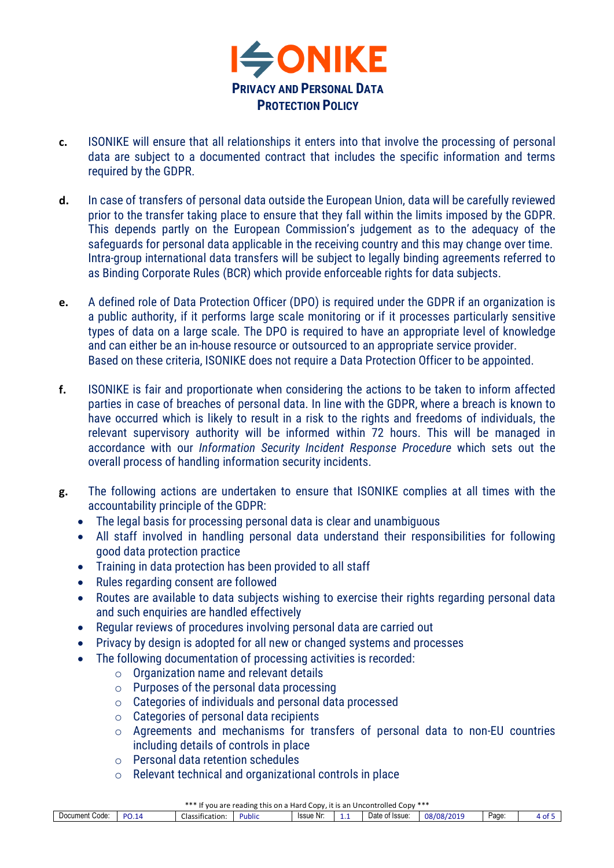

- **c.** ISONIKE will ensure that all relationships it enters into that involve the processing of personal data are subject to a documented contract that includes the specific information and terms required by the GDPR.
- **d.** In case of transfers of personal data outside the European Union, data will be carefully reviewed prior to the transfer taking place to ensure that they fall within the limits imposed by the GDPR. This depends partly on the European Commission's judgement as to the adequacy of the safeguards for personal data applicable in the receiving country and this may change over time. Intra-group international data transfers will be subject to legally binding agreements referred to as Binding Corporate Rules (BCR) which provide enforceable rights for data subjects.
- **e.** A defined role of Data Protection Officer (DPO) is required under the GDPR if an organization is a public authority, if it performs large scale monitoring or if it processes particularly sensitive types of data on a large scale. The DPO is required to have an appropriate level of knowledge and can either be an in-house resource or outsourced to an appropriate service provider. Based on these criteria, ISONIKE does not require a Data Protection Officer to be appointed.
- **f.** ISONIKE is fair and proportionate when considering the actions to be taken to inform affected parties in case of breaches of personal data. In line with the GDPR, where a breach is known to have occurred which is likely to result in a risk to the rights and freedoms of individuals, the relevant supervisory authority will be informed within 72 hours. This will be managed in accordance with our *Information Security Incident Response Procedure* which sets out the overall process of handling information security incidents.
- **g.** The following actions are undertaken to ensure that ISONIKE complies at all times with the accountability principle of the GDPR:
	- The legal basis for processing personal data is clear and unambiguous
	- All staff involved in handling personal data understand their responsibilities for following good data protection practice
	- Training in data protection has been provided to all staff
	- Rules regarding consent are followed
	- Routes are available to data subjects wishing to exercise their rights regarding personal data and such enquiries are handled effectively
	- Regular reviews of procedures involving personal data are carried out
	- Privacy by design is adopted for all new or changed systems and processes
	- The following documentation of processing activities is recorded:
		- $\circ$  Organization name and relevant details
		- $\circ$  Purposes of the personal data processing
		- o Categories of individuals and personal data processed
		- $\circ$  Categories of personal data recipients
		- o Agreements and mechanisms for transfers of personal data to non-EU countries including details of controls in place
		- o Personal data retention schedules
		- o Relevant technical and organizational controls in place

| *** If you are reading this on a Hard Copy.<br>Uncontrolled Copy ***<br>v. it is an-                            |            |            |      |  |  |  |  |  |  |
|-----------------------------------------------------------------------------------------------------------------|------------|------------|------|--|--|--|--|--|--|
| Date of Issue:<br>$\sim$<br>.<br><b>DO</b><br>Issue Nr.<br>Document<br>Code<br>Public<br><b>Classification:</b> | 08/08/2019 | -<br>Page: | of 5 |  |  |  |  |  |  |